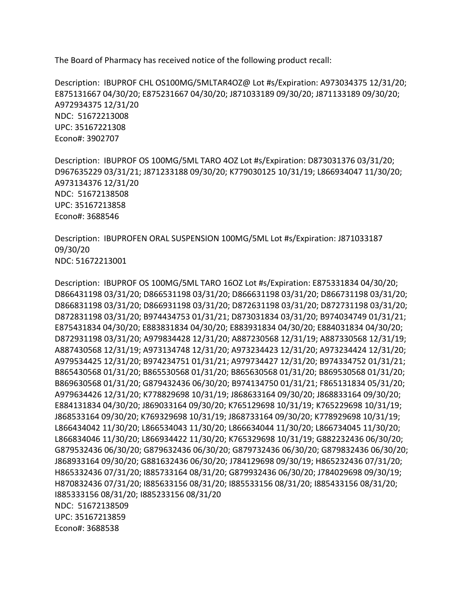The Board of Pharmacy has received notice of the following product recall:

 E875131667 04/30/20; E875231667 04/30/20; J871033189 09/30/20; J871133189 09/30/20; NDC: 51672213008 Description: IBUPROF CHL OS100MG/5MLTAR4OZ@ Lot #s/Expiration: A973034375 12/31/20; A972934375 12/31/20 UPC: 35167221308 Econo#: 3902707

 NDC: 51672138508 Description: IBUPROF OS 100MG/5ML TARO 4OZ Lot #s/Expiration: D873031376 03/31/20; D967635229 03/31/21; J871233188 09/30/20; K779030125 10/31/19; L866934047 11/30/20; A973134376 12/31/20 UPC: 35167213858 Econo#: 3688546

Description: IBUPROFEN ORAL SUSPENSION 100MG/5ML Lot #s/Expiration: J871033187<br>09/30/20 NDC: 51672213001

 NDC: 51672138509 Description: IBUPROF OS 100MG/5ML TARO 16OZ Lot #s/Expiration: E875331834 04/30/20; D866431198 03/31/20; D866531198 03/31/20; D866631198 03/31/20; D866731198 03/31/20; D866831198 03/31/20; D866931198 03/31/20; D872631198 03/31/20; D872731198 03/31/20; D872831198 03/31/20; B974434753 01/31/21; D873031834 03/31/20; B974034749 01/31/21; E875431834 04/30/20; E883831834 04/30/20; E883931834 04/30/20; E884031834 04/30/20; D872931198 03/31/20; A979834428 12/31/20; A887230568 12/31/19; A887330568 12/31/19; A887430568 12/31/19; A973134748 12/31/20; A973234423 12/31/20; A973234424 12/31/20; A979534425 12/31/20; B974234751 01/31/21; A979734427 12/31/20; B974334752 01/31/21; B865430568 01/31/20; B865530568 01/31/20; B865630568 01/31/20; B869530568 01/31/20; B869630568 01/31/20; G879432436 06/30/20; B974134750 01/31/21; F865131834 05/31/20; A979634426 12/31/20; K778829698 10/31/19; J868633164 09/30/20; J868833164 09/30/20; E884131834 04/30/20; J869033164 09/30/20; K765129698 10/31/19; K765229698 10/31/19; J868533164 09/30/20; K769329698 10/31/19; J868733164 09/30/20; K778929698 10/31/19; L866434042 11/30/20; L866534043 11/30/20; L866634044 11/30/20; L866734045 11/30/20; L866834046 11/30/20; L866934422 11/30/20; K765329698 10/31/19; G882232436 06/30/20; G879532436 06/30/20; G879632436 06/30/20; G879732436 06/30/20; G879832436 06/30/20; J868933164 09/30/20; G881632436 06/30/20; J784129698 09/30/19; H865232436 07/31/20; H865332436 07/31/20; I885733164 08/31/20; G879932436 06/30/20; J784029698 09/30/19; H870832436 07/31/20; I885633156 08/31/20; I885533156 08/31/20; I885433156 08/31/20; I885333156 08/31/20; I885233156 08/31/20 UPC: 35167213859 Econo#: 3688538